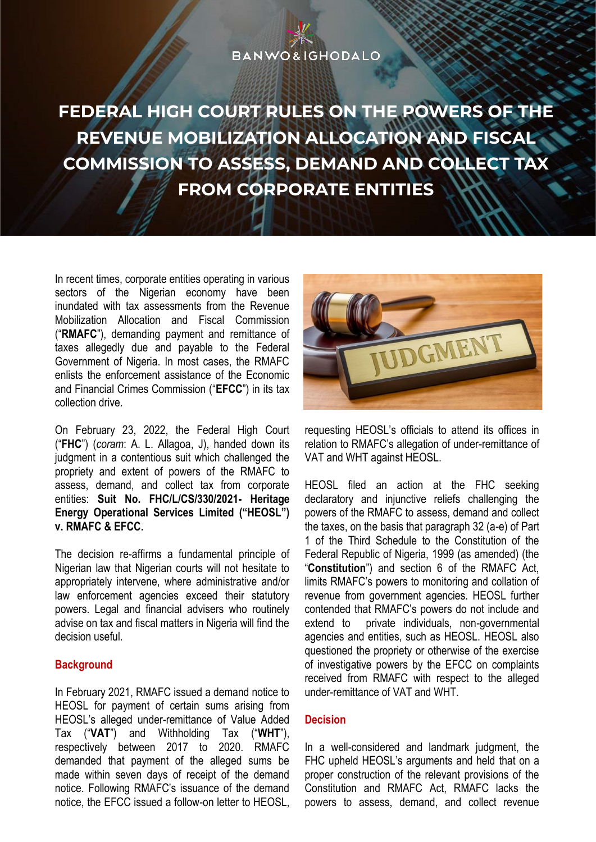## **BANWO&IGHODALO**

**FEDERAL HIGH COURT RULES ON THE POWERS OF THE REVENUE MOBILIZATION ALLOCATION AND FISCAL COMMISSION TO ASSESS, DEMAND AND COLLECT TAX FROM CORPORATE ENTITIES** 

In recent times, corporate entities operating in various sectors of the Nigerian economy have been inundated with tax assessments from the Revenue Mobilization Allocation and Fiscal Commission ("**RMAFC**"), demanding payment and remittance of taxes allegedly due and payable to the Federal Government of Nigeria. In most cases, the RMAFC enlists the enforcement assistance of the Economic and Financial Crimes Commission ("**EFCC**") in its tax collection drive.

On February 23, 2022, the Federal High Court ("**FHC**") (*coram*: A. L. Allagoa, J), handed down its judgment in a contentious suit which challenged the propriety and extent of powers of the RMAFC to assess, demand, and collect tax from corporate entities: **Suit No. FHC/L/CS/330/2021- Heritage Energy Operational Services Limited ("HEOSL") v. RMAFC & EFCC.**

The decision re-affirms a fundamental principle of Nigerian law that Nigerian courts will not hesitate to appropriately intervene, where administrative and/or law enforcement agencies exceed their statutory powers. Legal and financial advisers who routinely advise on tax and fiscal matters in Nigeria will find the decision useful.

## **Background**

In February 2021, RMAFC issued a demand notice to HEOSL for payment of certain sums arising from HEOSL's alleged under-remittance of Value Added Tax ("**VAT**") and Withholding Tax ("**WHT**"), respectively between 2017 to 2020. RMAFC demanded that payment of the alleged sums be made within seven days of receipt of the demand notice. Following RMAFC's issuance of the demand notice, the EFCC issued a follow-on letter to HEOSL,



requesting HEOSL's officials to attend its offices in relation to RMAFC's allegation of under-remittance of VAT and WHT against HEOSL.

HEOSL filed an action at the FHC seeking declaratory and injunctive reliefs challenging the powers of the RMAFC to assess, demand and collect the taxes, on the basis that paragraph 32 (a-e) of Part 1 of the Third Schedule to the Constitution of the Federal Republic of Nigeria, 1999 (as amended) (the "**Constitution**") and section 6 of the RMAFC Act, limits RMAFC's powers to monitoring and collation of revenue from government agencies. HEOSL further contended that RMAFC's powers do not include and extend to private individuals, non-governmental agencies and entities, such as HEOSL. HEOSL also questioned the propriety or otherwise of the exercise of investigative powers by the EFCC on complaints received from RMAFC with respect to the alleged under-remittance of VAT and WHT.

## **Decision**

In a well-considered and landmark judgment, the FHC upheld HEOSL's arguments and held that on a proper construction of the relevant provisions of the Constitution and RMAFC Act, RMAFC lacks the powers to assess, demand, and collect revenue